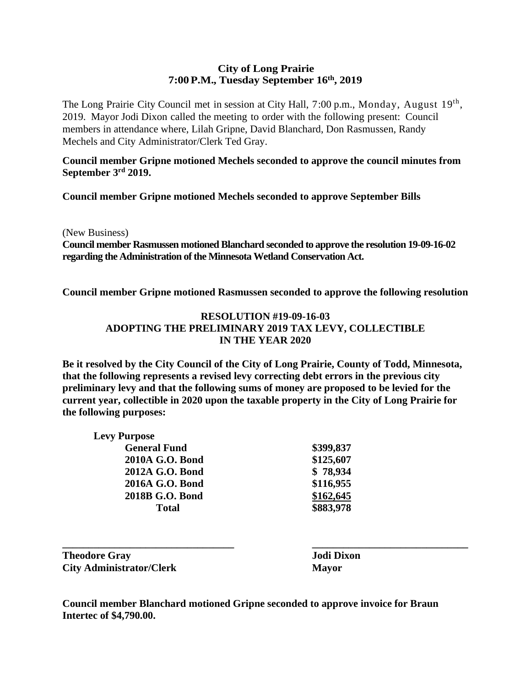#### **City of Long Prairie 7:00P.M., Tuesday September 16th, 2019**

The Long Prairie City Council met in session at City Hall, 7:00 p.m., Monday, August 19<sup>th</sup>, 2019. Mayor Jodi Dixon called the meeting to order with the following present: Council members in attendance where, Lilah Gripne, David Blanchard, Don Rasmussen, Randy Mechels and City Administrator/Clerk Ted Gray.

**Council member Gripne motioned Mechels seconded to approve the council minutes from September 3rd 2019.** 

**Council member Gripne motioned Mechels seconded to approve September Bills** 

(New Business)

**Council member Rasmussen motioned Blanchard seconded to approve the resolution 19-09-16-02 regarding the Administration of the Minnesota Wetland Conservation Act.** 

**Council member Gripne motioned Rasmussen seconded to approve the following resolution** 

#### **RESOLUTION #19-09-16-03 ADOPTING THE PRELIMINARY 2019 TAX LEVY, COLLECTIBLE IN THE YEAR 2020**

**Be it resolved by the City Council of the City of Long Prairie, County of Todd, Minnesota, that the following represents a revised levy correcting debt errors in the previous city preliminary levy and that the following sums of money are proposed to be levied for the current year, collectible in 2020 upon the taxable property in the City of Long Prairie for the following purposes:**

| <b>Levy Purpose</b> |           |
|---------------------|-----------|
| <b>General Fund</b> | \$399,837 |
| 2010A G.O. Bond     | \$125,607 |
| 2012A G.O. Bond     | \$78,934  |
| 2016A G.O. Bond     | \$116,955 |
| 2018B G.O. Bond     | \$162,645 |
| <b>Total</b>        | \$883,978 |

**\_\_\_\_\_\_\_\_\_\_\_\_\_\_\_\_\_\_\_\_\_\_\_\_\_\_\_\_\_\_\_\_\_ \_\_\_\_\_\_\_\_\_\_\_\_\_\_\_\_\_\_\_\_\_\_\_\_\_\_\_\_\_\_ Theodore Gray Jodi Dixon City Administrator/Clerk Mayor**

**Council member Blanchard motioned Gripne seconded to approve invoice for Braun Intertec of \$4,790.00.**